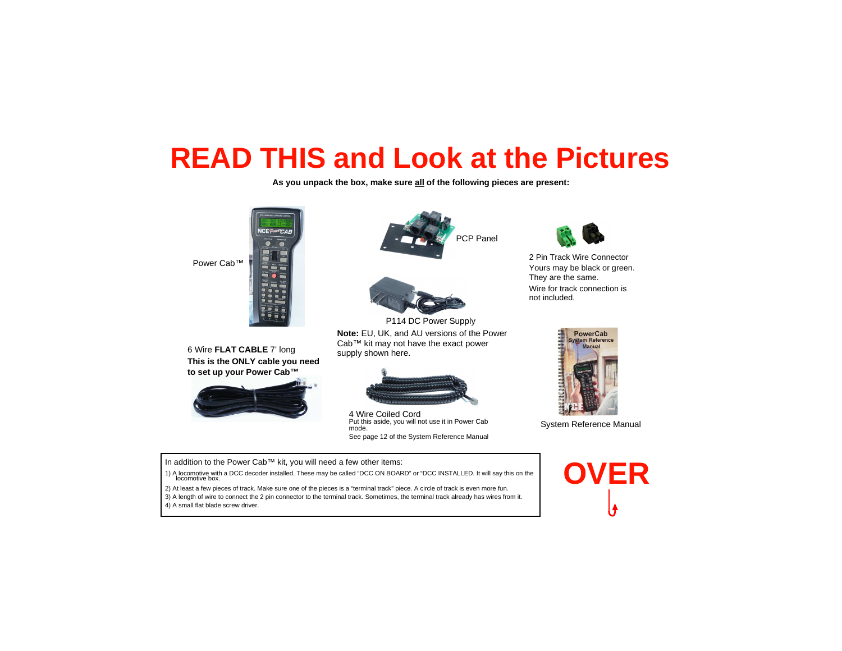## **READ THIS and Look at the Pictures**

**As you unpack the box, make sure all of the following pieces are present:**



6 Wire **FLAT CABLE** 7' long **This is the ONLY cable you need to set up your Power Cab™**







P114 DC Power Supply **Note:** EU, UK, and AU versions of the Power Cab™ kit may not have the exact power supply shown here.



4 Wire Coiled Cord Put this aside, you will not use it in Power Cab mode.See page 12 of the System Reference Manual



2 Pin Track Wire Connector Yours may be black or green. They are the same. Wire for track connection is not included.



System Reference Manual

In addition to the Power Cab™ kit, you will need a few other items:

1) A locomotive with a DCC decoder installed. These may be called "DCC ON BOARD" or "DCC INSTALLED. It will say this on the locomotive box.

2) At least a few pieces of track. Make sure one of the pieces is a "terminal track" piece. A circle of track is even more fun. 3) A length of wire to connect the 2 pin connector to the terminal track. Sometimes, the terminal track already has wires from it.4) A small flat blade screw driver.